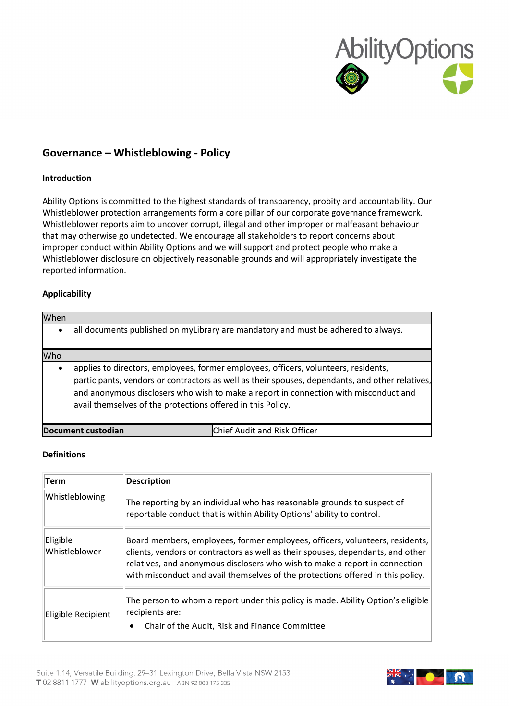

# **Governance – Whistleblowing - Policy**

# **Introduction**

Ability Options is committed to the highest standards of transparency, probity and accountability. Our Whistleblower protection arrangements form a core pillar of our corporate governance framework. Whistleblower reports aim to uncover corrupt, illegal and other improper or malfeasant behaviour that may otherwise go undetected. We encourage all stakeholders to report concerns about improper conduct within Ability Options and we will support and protect people who make a Whistleblower disclosure on objectively reasonable grounds and will appropriately investigate the reported information.

# **Applicability**

| When      |                                                                                                                                                                                                                                                                                                                                               |  |
|-----------|-----------------------------------------------------------------------------------------------------------------------------------------------------------------------------------------------------------------------------------------------------------------------------------------------------------------------------------------------|--|
| $\bullet$ | all documents published on myLibrary are mandatory and must be adhered to always.                                                                                                                                                                                                                                                             |  |
| Who       |                                                                                                                                                                                                                                                                                                                                               |  |
| $\bullet$ | applies to directors, employees, former employees, officers, volunteers, residents,<br>participants, vendors or contractors as well as their spouses, dependants, and other relatives,<br>and anonymous disclosers who wish to make a report in connection with misconduct and<br>avail themselves of the protections offered in this Policy. |  |
|           | Chief Audit and Risk Officer<br>Document custodian                                                                                                                                                                                                                                                                                            |  |

### **Definitions**

| Term                      | <b>Description</b>                                                                                                                                                                                                                                                                                                                |
|---------------------------|-----------------------------------------------------------------------------------------------------------------------------------------------------------------------------------------------------------------------------------------------------------------------------------------------------------------------------------|
| Whistleblowing            | The reporting by an individual who has reasonable grounds to suspect of<br>reportable conduct that is within Ability Options' ability to control.                                                                                                                                                                                 |
| Eligible<br>Whistleblower | Board members, employees, former employees, officers, volunteers, residents,<br>clients, vendors or contractors as well as their spouses, dependants, and other<br>relatives, and anonymous disclosers who wish to make a report in connection<br>with misconduct and avail themselves of the protections offered in this policy. |
| Eligible Recipient        | The person to whom a report under this policy is made. Ability Option's eligible<br>recipients are:<br>Chair of the Audit, Risk and Finance Committee                                                                                                                                                                             |

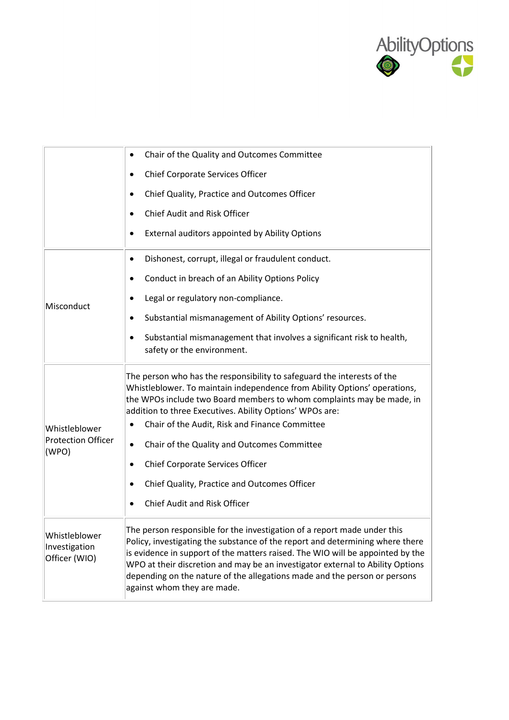

|                                                 | Chair of the Quality and Outcomes Committee                                                                                                                                                                                                                                                                                                                                                                                               |
|-------------------------------------------------|-------------------------------------------------------------------------------------------------------------------------------------------------------------------------------------------------------------------------------------------------------------------------------------------------------------------------------------------------------------------------------------------------------------------------------------------|
|                                                 | Chief Corporate Services Officer                                                                                                                                                                                                                                                                                                                                                                                                          |
|                                                 | Chief Quality, Practice and Outcomes Officer<br>$\bullet$                                                                                                                                                                                                                                                                                                                                                                                 |
|                                                 | Chief Audit and Risk Officer                                                                                                                                                                                                                                                                                                                                                                                                              |
|                                                 | External auditors appointed by Ability Options                                                                                                                                                                                                                                                                                                                                                                                            |
|                                                 | Dishonest, corrupt, illegal or fraudulent conduct.<br>$\bullet$                                                                                                                                                                                                                                                                                                                                                                           |
|                                                 | Conduct in breach of an Ability Options Policy                                                                                                                                                                                                                                                                                                                                                                                            |
| Misconduct                                      | Legal or regulatory non-compliance.                                                                                                                                                                                                                                                                                                                                                                                                       |
|                                                 | Substantial mismanagement of Ability Options' resources.                                                                                                                                                                                                                                                                                                                                                                                  |
|                                                 | Substantial mismanagement that involves a significant risk to health,<br>٠<br>safety or the environment.                                                                                                                                                                                                                                                                                                                                  |
| Whistleblower                                   | The person who has the responsibility to safeguard the interests of the<br>Whistleblower. To maintain independence from Ability Options' operations,<br>the WPOs include two Board members to whom complaints may be made, in<br>addition to three Executives. Ability Options' WPOs are:<br>Chair of the Audit, Risk and Finance Committee<br>٠                                                                                          |
| <b>Protection Officer</b><br>(WPO)              | Chair of the Quality and Outcomes Committee<br>٠                                                                                                                                                                                                                                                                                                                                                                                          |
|                                                 | Chief Corporate Services Officer                                                                                                                                                                                                                                                                                                                                                                                                          |
|                                                 | Chief Quality, Practice and Outcomes Officer                                                                                                                                                                                                                                                                                                                                                                                              |
|                                                 | Chief Audit and Risk Officer                                                                                                                                                                                                                                                                                                                                                                                                              |
| Whistleblower<br>Investigation<br>Officer (WIO) | The person responsible for the investigation of a report made under this<br>Policy, investigating the substance of the report and determining where there<br>is evidence in support of the matters raised. The WIO will be appointed by the<br>WPO at their discretion and may be an investigator external to Ability Options<br>depending on the nature of the allegations made and the person or persons<br>against whom they are made. |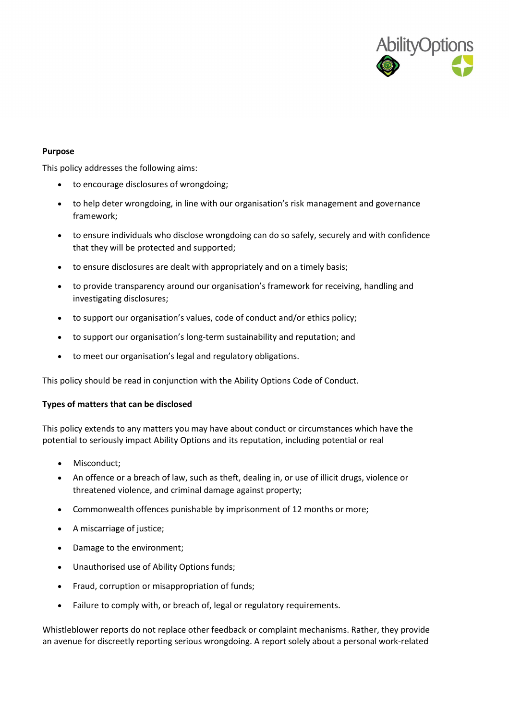

### **Purpose**

This policy addresses the following aims:

- to encourage disclosures of wrongdoing;
- to help deter wrongdoing, in line with our organisation's risk management and governance framework;
- to ensure individuals who disclose wrongdoing can do so safely, securely and with confidence that they will be protected and supported;
- to ensure disclosures are dealt with appropriately and on a timely basis;
- to provide transparency around our organisation's framework for receiving, handling and investigating disclosures;
- to support our organisation's values, code of conduct and/or ethics policy;
- to support our organisation's long-term sustainability and reputation; and
- to meet our organisation's legal and regulatory obligations.

This policy should be read in conjunction with the Ability Options Code of Conduct.

#### **Types of matters that can be disclosed**

This policy extends to any matters you may have about conduct or circumstances which have the potential to seriously impact Ability Options and its reputation, including potential or real

- Misconduct;
- An offence or a breach of law, such as theft, dealing in, or use of illicit drugs, violence or threatened violence, and criminal damage against property;
- Commonwealth offences punishable by imprisonment of 12 months or more;
- A miscarriage of justice;
- Damage to the environment;
- Unauthorised use of Ability Options funds;
- Fraud, corruption or misappropriation of funds;
- Failure to comply with, or breach of, legal or regulatory requirements.

Whistleblower reports do not replace other feedback or complaint mechanisms. Rather, they provide an avenue for discreetly reporting serious wrongdoing. A report solely about a personal work-related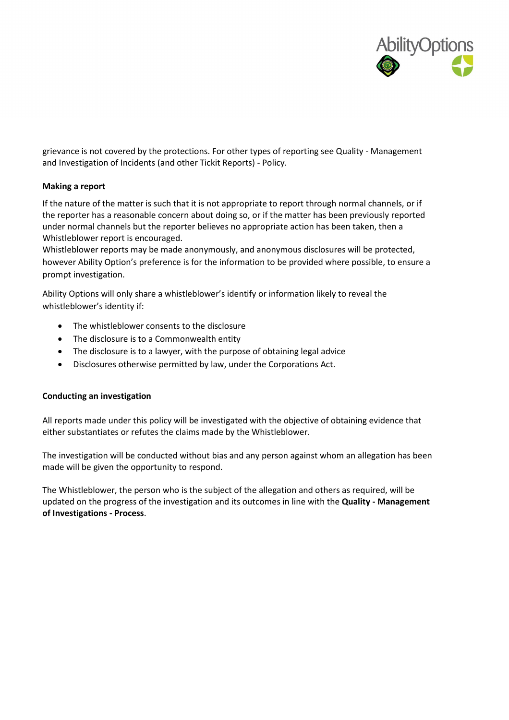

grievance is not covered by the protections. For other types of reporting see Quality - Management and Investigation of Incidents (and other Tickit Reports) - Policy.

# **Making a report**

If the nature of the matter is such that it is not appropriate to report through normal channels, or if the reporter has a reasonable concern about doing so, or if the matter has been previously reported under normal channels but the reporter believes no appropriate action has been taken, then a Whistleblower report is encouraged.

Whistleblower reports may be made anonymously, and anonymous disclosures will be protected, however Ability Option's preference is for the information to be provided where possible, to ensure a prompt investigation.

Ability Options will only share a whistleblower's identify or information likely to reveal the whistleblower's identity if:

- The whistleblower consents to the disclosure
- The disclosure is to a Commonwealth entity
- The disclosure is to a lawyer, with the purpose of obtaining legal advice
- Disclosures otherwise permitted by law, under the Corporations Act.

### **Conducting an investigation**

All reports made under this policy will be investigated with the objective of obtaining evidence that either substantiates or refutes the claims made by the Whistleblower.

The investigation will be conducted without bias and any person against whom an allegation has been made will be given the opportunity to respond.

The Whistleblower, the person who is the subject of the allegation and others as required, will be updated on the progress of the investigation and its outcomes in line with the **Quality - Management of Investigations - Process**.